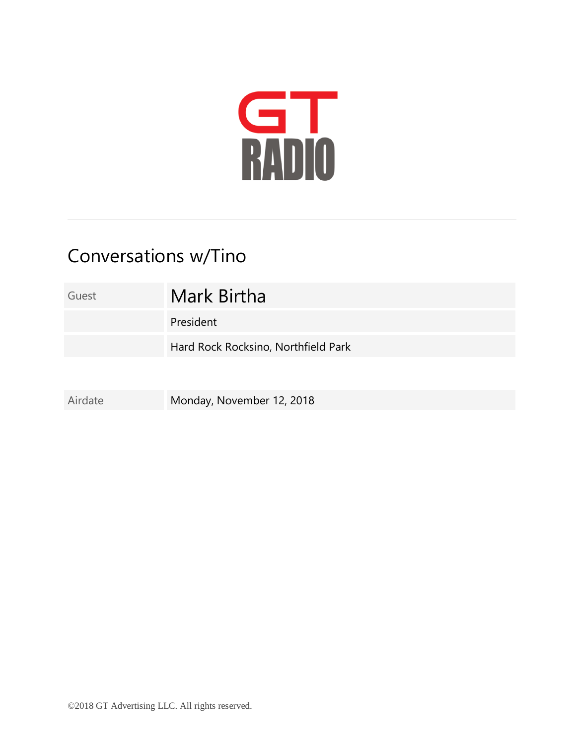

## Conversations w/Tino

| Guest   | Mark Birtha                         |
|---------|-------------------------------------|
|         | President                           |
|         | Hard Rock Rocksino, Northfield Park |
|         |                                     |
| Airdate | Monday, November 12, 2018           |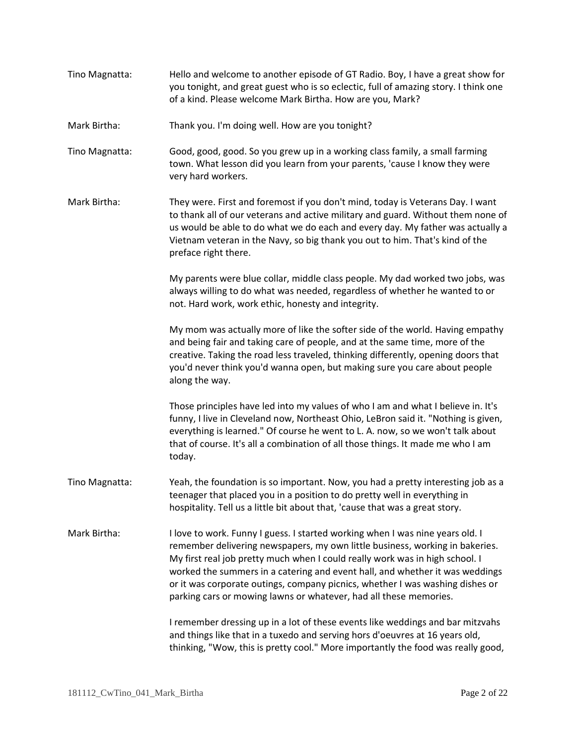- Tino Magnatta: Hello and welcome to another episode of GT Radio. Boy, I have a great show for you tonight, and great guest who is so eclectic, full of amazing story. I think one of a kind. Please welcome Mark Birtha. How are you, Mark?
- Mark Birtha: Thank you. I'm doing well. How are you tonight?
- Tino Magnatta: Good, good, good. So you grew up in a working class family, a small farming town. What lesson did you learn from your parents, 'cause I know they were very hard workers.
- Mark Birtha: They were. First and foremost if you don't mind, today is Veterans Day. I want to thank all of our veterans and active military and guard. Without them none of us would be able to do what we do each and every day. My father was actually a Vietnam veteran in the Navy, so big thank you out to him. That's kind of the preface right there.

My parents were blue collar, middle class people. My dad worked two jobs, was always willing to do what was needed, regardless of whether he wanted to or not. Hard work, work ethic, honesty and integrity.

My mom was actually more of like the softer side of the world. Having empathy and being fair and taking care of people, and at the same time, more of the creative. Taking the road less traveled, thinking differently, opening doors that you'd never think you'd wanna open, but making sure you care about people along the way.

Those principles have led into my values of who I am and what I believe in. It's funny, I live in Cleveland now, Northeast Ohio, LeBron said it. "Nothing is given, everything is learned." Of course he went to L. A. now, so we won't talk about that of course. It's all a combination of all those things. It made me who I am today.

- Tino Magnatta: Yeah, the foundation is so important. Now, you had a pretty interesting job as a teenager that placed you in a position to do pretty well in everything in hospitality. Tell us a little bit about that, 'cause that was a great story.
- Mark Birtha: I love to work. Funny I guess. I started working when I was nine years old. I remember delivering newspapers, my own little business, working in bakeries. My first real job pretty much when I could really work was in high school. I worked the summers in a catering and event hall, and whether it was weddings or it was corporate outings, company picnics, whether I was washing dishes or parking cars or mowing lawns or whatever, had all these memories.

I remember dressing up in a lot of these events like weddings and bar mitzvahs and things like that in a tuxedo and serving hors d'oeuvres at 16 years old, thinking, "Wow, this is pretty cool." More importantly the food was really good,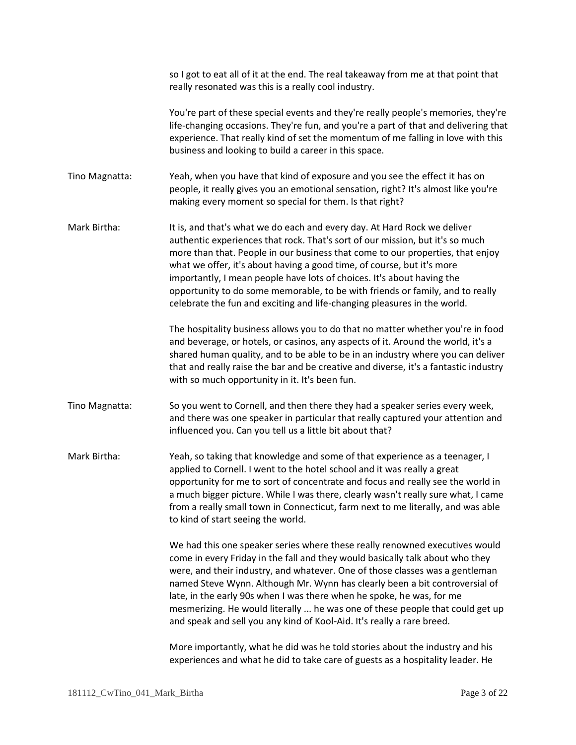|                | so I got to eat all of it at the end. The real takeaway from me at that point that<br>really resonated was this is a really cool industry.                                                                                                                                                                                                                                                                                                                                                                                                                      |
|----------------|-----------------------------------------------------------------------------------------------------------------------------------------------------------------------------------------------------------------------------------------------------------------------------------------------------------------------------------------------------------------------------------------------------------------------------------------------------------------------------------------------------------------------------------------------------------------|
|                | You're part of these special events and they're really people's memories, they're<br>life-changing occasions. They're fun, and you're a part of that and delivering that<br>experience. That really kind of set the momentum of me falling in love with this<br>business and looking to build a career in this space.                                                                                                                                                                                                                                           |
| Tino Magnatta: | Yeah, when you have that kind of exposure and you see the effect it has on<br>people, it really gives you an emotional sensation, right? It's almost like you're<br>making every moment so special for them. Is that right?                                                                                                                                                                                                                                                                                                                                     |
| Mark Birtha:   | It is, and that's what we do each and every day. At Hard Rock we deliver<br>authentic experiences that rock. That's sort of our mission, but it's so much<br>more than that. People in our business that come to our properties, that enjoy<br>what we offer, it's about having a good time, of course, but it's more<br>importantly, I mean people have lots of choices. It's about having the<br>opportunity to do some memorable, to be with friends or family, and to really<br>celebrate the fun and exciting and life-changing pleasures in the world.    |
|                | The hospitality business allows you to do that no matter whether you're in food<br>and beverage, or hotels, or casinos, any aspects of it. Around the world, it's a<br>shared human quality, and to be able to be in an industry where you can deliver<br>that and really raise the bar and be creative and diverse, it's a fantastic industry<br>with so much opportunity in it. It's been fun.                                                                                                                                                                |
| Tino Magnatta: | So you went to Cornell, and then there they had a speaker series every week,<br>and there was one speaker in particular that really captured your attention and<br>influenced you. Can you tell us a little bit about that?                                                                                                                                                                                                                                                                                                                                     |
| Mark Birtha:   | Yeah, so taking that knowledge and some of that experience as a teenager, I<br>applied to Cornell. I went to the hotel school and it was really a great<br>opportunity for me to sort of concentrate and focus and really see the world in<br>a much bigger picture. While I was there, clearly wasn't really sure what, I came<br>from a really small town in Connecticut, farm next to me literally, and was able<br>to kind of start seeing the world.                                                                                                       |
|                | We had this one speaker series where these really renowned executives would<br>come in every Friday in the fall and they would basically talk about who they<br>were, and their industry, and whatever. One of those classes was a gentleman<br>named Steve Wynn. Although Mr. Wynn has clearly been a bit controversial of<br>late, in the early 90s when I was there when he spoke, he was, for me<br>mesmerizing. He would literally  he was one of these people that could get up<br>and speak and sell you any kind of Kool-Aid. It's really a rare breed. |
|                | More importantly, what he did was he told stories about the industry and his<br>experiences and what he did to take care of guests as a hospitality leader. He                                                                                                                                                                                                                                                                                                                                                                                                  |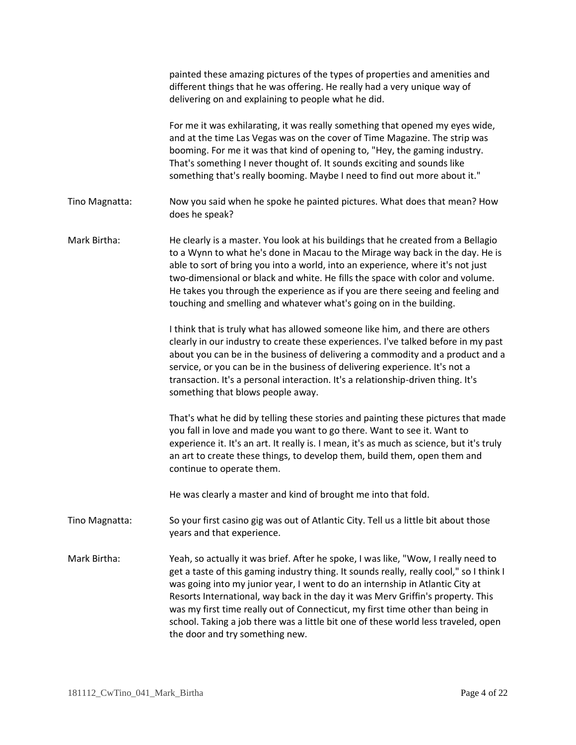|                | painted these amazing pictures of the types of properties and amenities and<br>different things that he was offering. He really had a very unique way of<br>delivering on and explaining to people what he did.                                                                                                                                                                                                                                                                                                                                              |
|----------------|--------------------------------------------------------------------------------------------------------------------------------------------------------------------------------------------------------------------------------------------------------------------------------------------------------------------------------------------------------------------------------------------------------------------------------------------------------------------------------------------------------------------------------------------------------------|
|                | For me it was exhilarating, it was really something that opened my eyes wide,<br>and at the time Las Vegas was on the cover of Time Magazine. The strip was<br>booming. For me it was that kind of opening to, "Hey, the gaming industry.<br>That's something I never thought of. It sounds exciting and sounds like<br>something that's really booming. Maybe I need to find out more about it."                                                                                                                                                            |
| Tino Magnatta: | Now you said when he spoke he painted pictures. What does that mean? How<br>does he speak?                                                                                                                                                                                                                                                                                                                                                                                                                                                                   |
| Mark Birtha:   | He clearly is a master. You look at his buildings that he created from a Bellagio<br>to a Wynn to what he's done in Macau to the Mirage way back in the day. He is<br>able to sort of bring you into a world, into an experience, where it's not just<br>two-dimensional or black and white. He fills the space with color and volume.<br>He takes you through the experience as if you are there seeing and feeling and<br>touching and smelling and whatever what's going on in the building.                                                              |
|                | I think that is truly what has allowed someone like him, and there are others<br>clearly in our industry to create these experiences. I've talked before in my past<br>about you can be in the business of delivering a commodity and a product and a<br>service, or you can be in the business of delivering experience. It's not a<br>transaction. It's a personal interaction. It's a relationship-driven thing. It's<br>something that blows people away.                                                                                                |
|                | That's what he did by telling these stories and painting these pictures that made<br>you fall in love and made you want to go there. Want to see it. Want to<br>experience it. It's an art. It really is. I mean, it's as much as science, but it's truly<br>an art to create these things, to develop them, build them, open them and<br>continue to operate them.                                                                                                                                                                                          |
|                | He was clearly a master and kind of brought me into that fold.                                                                                                                                                                                                                                                                                                                                                                                                                                                                                               |
| Tino Magnatta: | So your first casino gig was out of Atlantic City. Tell us a little bit about those<br>years and that experience.                                                                                                                                                                                                                                                                                                                                                                                                                                            |
| Mark Birtha:   | Yeah, so actually it was brief. After he spoke, I was like, "Wow, I really need to<br>get a taste of this gaming industry thing. It sounds really, really cool," so I think I<br>was going into my junior year, I went to do an internship in Atlantic City at<br>Resorts International, way back in the day it was Merv Griffin's property. This<br>was my first time really out of Connecticut, my first time other than being in<br>school. Taking a job there was a little bit one of these world less traveled, open<br>the door and try something new. |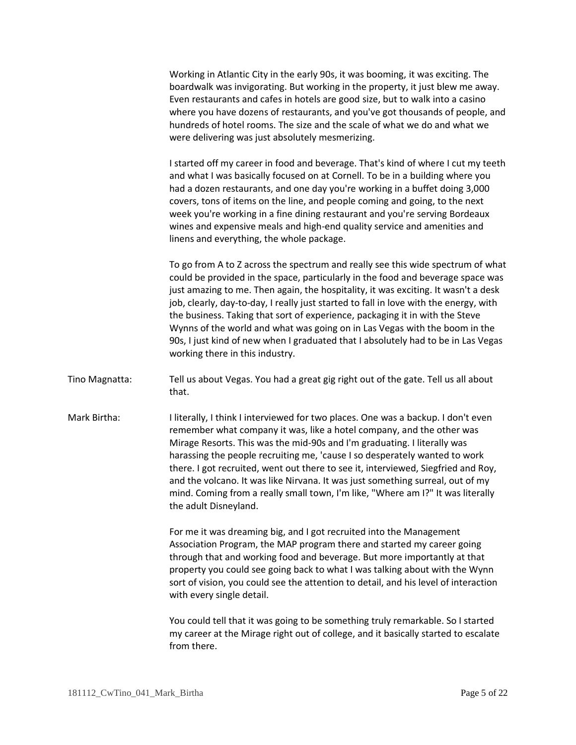Working in Atlantic City in the early 90s, it was booming, it was exciting. The boardwalk was invigorating. But working in the property, it just blew me away. Even restaurants and cafes in hotels are good size, but to walk into a casino where you have dozens of restaurants, and you've got thousands of people, and hundreds of hotel rooms. The size and the scale of what we do and what we were delivering was just absolutely mesmerizing.

I started off my career in food and beverage. That's kind of where I cut my teeth and what I was basically focused on at Cornell. To be in a building where you had a dozen restaurants, and one day you're working in a buffet doing 3,000 covers, tons of items on the line, and people coming and going, to the next week you're working in a fine dining restaurant and you're serving Bordeaux wines and expensive meals and high-end quality service and amenities and linens and everything, the whole package.

To go from A to Z across the spectrum and really see this wide spectrum of what could be provided in the space, particularly in the food and beverage space was just amazing to me. Then again, the hospitality, it was exciting. It wasn't a desk job, clearly, day-to-day, I really just started to fall in love with the energy, with the business. Taking that sort of experience, packaging it in with the Steve Wynns of the world and what was going on in Las Vegas with the boom in the 90s, I just kind of new when I graduated that I absolutely had to be in Las Vegas working there in this industry.

- Tino Magnatta: Tell us about Vegas. You had a great gig right out of the gate. Tell us all about that.
- Mark Birtha: I literally, I think I interviewed for two places. One was a backup. I don't even remember what company it was, like a hotel company, and the other was Mirage Resorts. This was the mid-90s and I'm graduating. I literally was harassing the people recruiting me, 'cause I so desperately wanted to work there. I got recruited, went out there to see it, interviewed, Siegfried and Roy, and the volcano. It was like Nirvana. It was just something surreal, out of my mind. Coming from a really small town, I'm like, "Where am I?" It was literally the adult Disneyland.

For me it was dreaming big, and I got recruited into the Management Association Program, the MAP program there and started my career going through that and working food and beverage. But more importantly at that property you could see going back to what I was talking about with the Wynn sort of vision, you could see the attention to detail, and his level of interaction with every single detail.

You could tell that it was going to be something truly remarkable. So I started my career at the Mirage right out of college, and it basically started to escalate from there.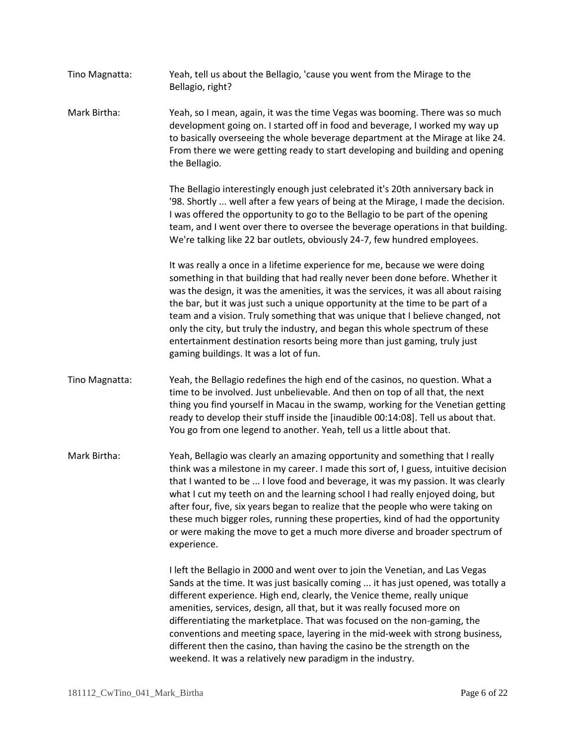- Tino Magnatta: Yeah, tell us about the Bellagio, 'cause you went from the Mirage to the Bellagio, right?
- Mark Birtha: Yeah, so I mean, again, it was the time Vegas was booming. There was so much development going on. I started off in food and beverage, I worked my way up to basically overseeing the whole beverage department at the Mirage at like 24. From there we were getting ready to start developing and building and opening the Bellagio.

The Bellagio interestingly enough just celebrated it's 20th anniversary back in '98. Shortly ... well after a few years of being at the Mirage, I made the decision. I was offered the opportunity to go to the Bellagio to be part of the opening team, and I went over there to oversee the beverage operations in that building. We're talking like 22 bar outlets, obviously 24-7, few hundred employees.

It was really a once in a lifetime experience for me, because we were doing something in that building that had really never been done before. Whether it was the design, it was the amenities, it was the services, it was all about raising the bar, but it was just such a unique opportunity at the time to be part of a team and a vision. Truly something that was unique that I believe changed, not only the city, but truly the industry, and began this whole spectrum of these entertainment destination resorts being more than just gaming, truly just gaming buildings. It was a lot of fun.

- Tino Magnatta: Yeah, the Bellagio redefines the high end of the casinos, no question. What a time to be involved. Just unbelievable. And then on top of all that, the next thing you find yourself in Macau in the swamp, working for the Venetian getting ready to develop their stuff inside the [inaudible 00:14:08]. Tell us about that. You go from one legend to another. Yeah, tell us a little about that.
- Mark Birtha: Yeah, Bellagio was clearly an amazing opportunity and something that I really think was a milestone in my career. I made this sort of, I guess, intuitive decision that I wanted to be ... I love food and beverage, it was my passion. It was clearly what I cut my teeth on and the learning school I had really enjoyed doing, but after four, five, six years began to realize that the people who were taking on these much bigger roles, running these properties, kind of had the opportunity or were making the move to get a much more diverse and broader spectrum of experience.

I left the Bellagio in 2000 and went over to join the Venetian, and Las Vegas Sands at the time. It was just basically coming ... it has just opened, was totally a different experience. High end, clearly, the Venice theme, really unique amenities, services, design, all that, but it was really focused more on differentiating the marketplace. That was focused on the non-gaming, the conventions and meeting space, layering in the mid-week with strong business, different then the casino, than having the casino be the strength on the weekend. It was a relatively new paradigm in the industry.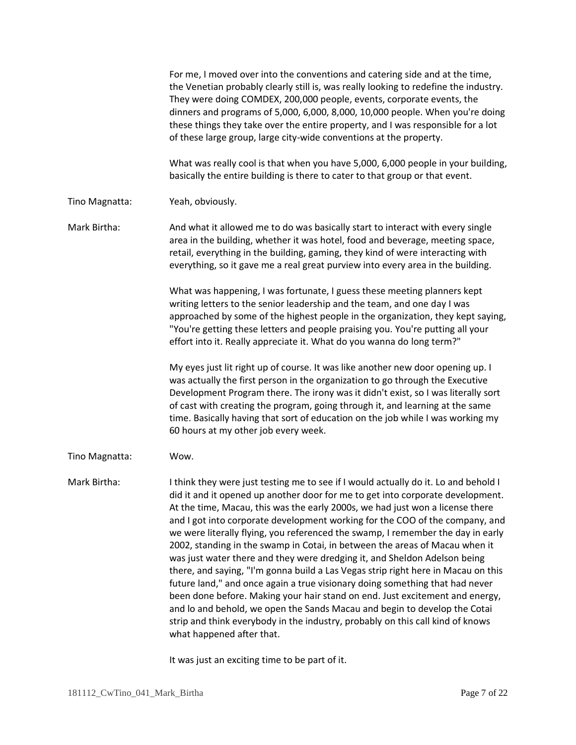|                | For me, I moved over into the conventions and catering side and at the time,<br>the Venetian probably clearly still is, was really looking to redefine the industry.<br>They were doing COMDEX, 200,000 people, events, corporate events, the<br>dinners and programs of 5,000, 6,000, 8,000, 10,000 people. When you're doing<br>these things they take over the entire property, and I was responsible for a lot<br>of these large group, large city-wide conventions at the property.<br>What was really cool is that when you have 5,000, 6,000 people in your building,                                                                                                                                                                                                                                                                                                                                                                                                                                                           |
|----------------|----------------------------------------------------------------------------------------------------------------------------------------------------------------------------------------------------------------------------------------------------------------------------------------------------------------------------------------------------------------------------------------------------------------------------------------------------------------------------------------------------------------------------------------------------------------------------------------------------------------------------------------------------------------------------------------------------------------------------------------------------------------------------------------------------------------------------------------------------------------------------------------------------------------------------------------------------------------------------------------------------------------------------------------|
|                | basically the entire building is there to cater to that group or that event.                                                                                                                                                                                                                                                                                                                                                                                                                                                                                                                                                                                                                                                                                                                                                                                                                                                                                                                                                           |
| Tino Magnatta: | Yeah, obviously.                                                                                                                                                                                                                                                                                                                                                                                                                                                                                                                                                                                                                                                                                                                                                                                                                                                                                                                                                                                                                       |
| Mark Birtha:   | And what it allowed me to do was basically start to interact with every single<br>area in the building, whether it was hotel, food and beverage, meeting space,<br>retail, everything in the building, gaming, they kind of were interacting with<br>everything, so it gave me a real great purview into every area in the building.                                                                                                                                                                                                                                                                                                                                                                                                                                                                                                                                                                                                                                                                                                   |
|                | What was happening, I was fortunate, I guess these meeting planners kept<br>writing letters to the senior leadership and the team, and one day I was<br>approached by some of the highest people in the organization, they kept saying,<br>"You're getting these letters and people praising you. You're putting all your<br>effort into it. Really appreciate it. What do you wanna do long term?"                                                                                                                                                                                                                                                                                                                                                                                                                                                                                                                                                                                                                                    |
|                | My eyes just lit right up of course. It was like another new door opening up. I<br>was actually the first person in the organization to go through the Executive<br>Development Program there. The irony was it didn't exist, so I was literally sort<br>of cast with creating the program, going through it, and learning at the same<br>time. Basically having that sort of education on the job while I was working my<br>60 hours at my other job every week.                                                                                                                                                                                                                                                                                                                                                                                                                                                                                                                                                                      |
| Tino Magnatta: | Wow.                                                                                                                                                                                                                                                                                                                                                                                                                                                                                                                                                                                                                                                                                                                                                                                                                                                                                                                                                                                                                                   |
| Mark Birtha:   | I think they were just testing me to see if I would actually do it. Lo and behold I<br>did it and it opened up another door for me to get into corporate development.<br>At the time, Macau, this was the early 2000s, we had just won a license there<br>and I got into corporate development working for the COO of the company, and<br>we were literally flying, you referenced the swamp, I remember the day in early<br>2002, standing in the swamp in Cotai, in between the areas of Macau when it<br>was just water there and they were dredging it, and Sheldon Adelson being<br>there, and saying, "I'm gonna build a Las Vegas strip right here in Macau on this<br>future land," and once again a true visionary doing something that had never<br>been done before. Making your hair stand on end. Just excitement and energy,<br>and lo and behold, we open the Sands Macau and begin to develop the Cotai<br>strip and think everybody in the industry, probably on this call kind of knows<br>what happened after that. |

It was just an exciting time to be part of it.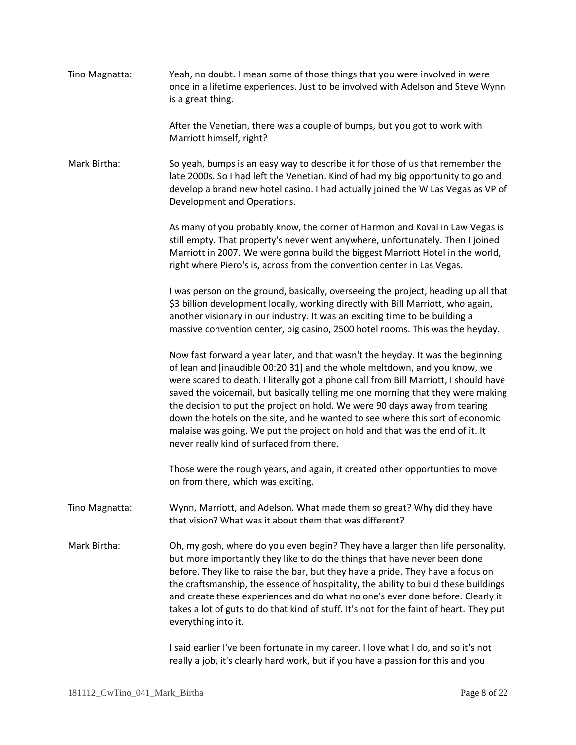| Tino Magnatta: | Yeah, no doubt. I mean some of those things that you were involved in were<br>once in a lifetime experiences. Just to be involved with Adelson and Steve Wynn<br>is a great thing.                                                                                                                                                                                                                                                                                                                                                                                                                                                  |
|----------------|-------------------------------------------------------------------------------------------------------------------------------------------------------------------------------------------------------------------------------------------------------------------------------------------------------------------------------------------------------------------------------------------------------------------------------------------------------------------------------------------------------------------------------------------------------------------------------------------------------------------------------------|
|                | After the Venetian, there was a couple of bumps, but you got to work with<br>Marriott himself, right?                                                                                                                                                                                                                                                                                                                                                                                                                                                                                                                               |
| Mark Birtha:   | So yeah, bumps is an easy way to describe it for those of us that remember the<br>late 2000s. So I had left the Venetian. Kind of had my big opportunity to go and<br>develop a brand new hotel casino. I had actually joined the W Las Vegas as VP of<br>Development and Operations.                                                                                                                                                                                                                                                                                                                                               |
|                | As many of you probably know, the corner of Harmon and Koval in Law Vegas is<br>still empty. That property's never went anywhere, unfortunately. Then I joined<br>Marriott in 2007. We were gonna build the biggest Marriott Hotel in the world,<br>right where Piero's is, across from the convention center in Las Vegas.                                                                                                                                                                                                                                                                                                         |
|                | I was person on the ground, basically, overseeing the project, heading up all that<br>\$3 billion development locally, working directly with Bill Marriott, who again,<br>another visionary in our industry. It was an exciting time to be building a<br>massive convention center, big casino, 2500 hotel rooms. This was the heyday.                                                                                                                                                                                                                                                                                              |
|                | Now fast forward a year later, and that wasn't the heyday. It was the beginning<br>of lean and [inaudible 00:20:31] and the whole meltdown, and you know, we<br>were scared to death. I literally got a phone call from Bill Marriott, I should have<br>saved the voicemail, but basically telling me one morning that they were making<br>the decision to put the project on hold. We were 90 days away from tearing<br>down the hotels on the site, and he wanted to see where this sort of economic<br>malaise was going. We put the project on hold and that was the end of it. It<br>never really kind of surfaced from there. |
|                | Those were the rough years, and again, it created other opportunties to move<br>on from there, which was exciting.                                                                                                                                                                                                                                                                                                                                                                                                                                                                                                                  |
| Tino Magnatta: | Wynn, Marriott, and Adelson. What made them so great? Why did they have<br>that vision? What was it about them that was different?                                                                                                                                                                                                                                                                                                                                                                                                                                                                                                  |
| Mark Birtha:   | Oh, my gosh, where do you even begin? They have a larger than life personality,<br>but more importantly they like to do the things that have never been done<br>before. They like to raise the bar, but they have a pride. They have a focus on<br>the craftsmanship, the essence of hospitality, the ability to build these buildings<br>and create these experiences and do what no one's ever done before. Clearly it<br>takes a lot of guts to do that kind of stuff. It's not for the faint of heart. They put<br>everything into it.                                                                                          |
|                | I said earlier I've been fortunate in my career. I love what I do, and so it's not<br>really a job, it's clearly hard work, but if you have a passion for this and you                                                                                                                                                                                                                                                                                                                                                                                                                                                              |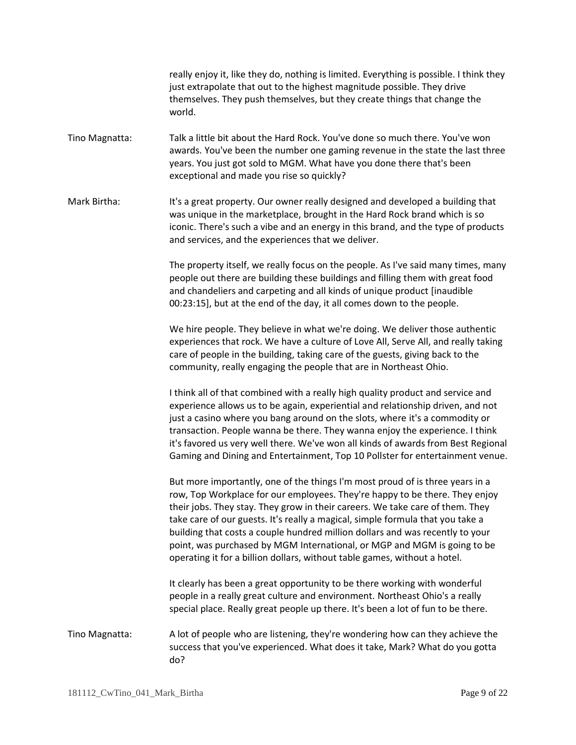really enjoy it, like they do, nothing is limited. Everything is possible. I think they just extrapolate that out to the highest magnitude possible. They drive themselves. They push themselves, but they create things that change the world.

Tino Magnatta: Talk a little bit about the Hard Rock. You've done so much there. You've won awards. You've been the number one gaming revenue in the state the last three years. You just got sold to MGM. What have you done there that's been exceptional and made you rise so quickly?

Mark Birtha: It's a great property. Our owner really designed and developed a building that was unique in the marketplace, brought in the Hard Rock brand which is so iconic. There's such a vibe and an energy in this brand, and the type of products and services, and the experiences that we deliver.

> The property itself, we really focus on the people. As I've said many times, many people out there are building these buildings and filling them with great food and chandeliers and carpeting and all kinds of unique product [inaudible 00:23:15], but at the end of the day, it all comes down to the people.

> We hire people. They believe in what we're doing. We deliver those authentic experiences that rock. We have a culture of Love All, Serve All, and really taking care of people in the building, taking care of the guests, giving back to the community, really engaging the people that are in Northeast Ohio.

I think all of that combined with a really high quality product and service and experience allows us to be again, experiential and relationship driven, and not just a casino where you bang around on the slots, where it's a commodity or transaction. People wanna be there. They wanna enjoy the experience. I think it's favored us very well there. We've won all kinds of awards from Best Regional Gaming and Dining and Entertainment, Top 10 Pollster for entertainment venue.

But more importantly, one of the things I'm most proud of is three years in a row, Top Workplace for our employees. They're happy to be there. They enjoy their jobs. They stay. They grow in their careers. We take care of them. They take care of our guests. It's really a magical, simple formula that you take a building that costs a couple hundred million dollars and was recently to your point, was purchased by MGM International, or MGP and MGM is going to be operating it for a billion dollars, without table games, without a hotel.

It clearly has been a great opportunity to be there working with wonderful people in a really great culture and environment. Northeast Ohio's a really special place. Really great people up there. It's been a lot of fun to be there.

Tino Magnatta: A lot of people who are listening, they're wondering how can they achieve the success that you've experienced. What does it take, Mark? What do you gotta do?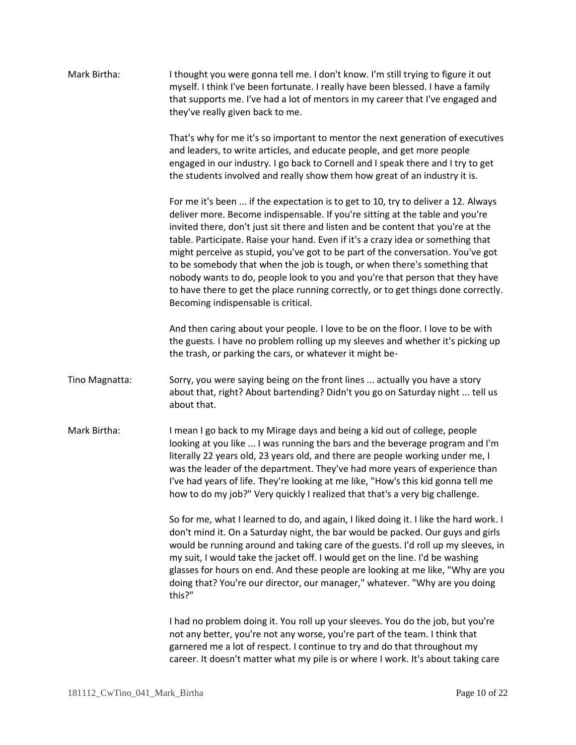| Mark Birtha:   | I thought you were gonna tell me. I don't know. I'm still trying to figure it out<br>myself. I think I've been fortunate. I really have been blessed. I have a family<br>that supports me. I've had a lot of mentors in my career that I've engaged and<br>they've really given back to me.                                                                                                                                                                                                                                                                                                                                                                                                                             |
|----------------|-------------------------------------------------------------------------------------------------------------------------------------------------------------------------------------------------------------------------------------------------------------------------------------------------------------------------------------------------------------------------------------------------------------------------------------------------------------------------------------------------------------------------------------------------------------------------------------------------------------------------------------------------------------------------------------------------------------------------|
|                | That's why for me it's so important to mentor the next generation of executives<br>and leaders, to write articles, and educate people, and get more people<br>engaged in our industry. I go back to Cornell and I speak there and I try to get<br>the students involved and really show them how great of an industry it is.                                                                                                                                                                                                                                                                                                                                                                                            |
|                | For me it's been  if the expectation is to get to 10, try to deliver a 12. Always<br>deliver more. Become indispensable. If you're sitting at the table and you're<br>invited there, don't just sit there and listen and be content that you're at the<br>table. Participate. Raise your hand. Even if it's a crazy idea or something that<br>might perceive as stupid, you've got to be part of the conversation. You've got<br>to be somebody that when the job is tough, or when there's something that<br>nobody wants to do, people look to you and you're that person that they have<br>to have there to get the place running correctly, or to get things done correctly.<br>Becoming indispensable is critical. |
|                | And then caring about your people. I love to be on the floor. I love to be with<br>the guests. I have no problem rolling up my sleeves and whether it's picking up<br>the trash, or parking the cars, or whatever it might be-                                                                                                                                                                                                                                                                                                                                                                                                                                                                                          |
| Tino Magnatta: | Sorry, you were saying being on the front lines  actually you have a story<br>about that, right? About bartending? Didn't you go on Saturday night  tell us<br>about that.                                                                                                                                                                                                                                                                                                                                                                                                                                                                                                                                              |
| Mark Birtha:   | I mean I go back to my Mirage days and being a kid out of college, people<br>looking at you like  I was running the bars and the beverage program and I'm<br>literally 22 years old, 23 years old, and there are people working under me, I<br>was the leader of the department. They've had more years of experience than<br>I've had years of life. They're looking at me like, "How's this kid gonna tell me<br>how to do my job?" Very quickly I realized that that's a very big challenge.                                                                                                                                                                                                                         |
|                | So for me, what I learned to do, and again, I liked doing it. I like the hard work. I<br>don't mind it. On a Saturday night, the bar would be packed. Our guys and girls<br>would be running around and taking care of the guests. I'd roll up my sleeves, in<br>my suit, I would take the jacket off. I would get on the line. I'd be washing<br>glasses for hours on end. And these people are looking at me like, "Why are you<br>doing that? You're our director, our manager," whatever. "Why are you doing<br>this?"                                                                                                                                                                                              |
|                | I had no problem doing it. You roll up your sleeves. You do the job, but you're<br>not any better, you're not any worse, you're part of the team. I think that<br>garnered me a lot of respect. I continue to try and do that throughout my<br>career. It doesn't matter what my pile is or where I work. It's about taking care                                                                                                                                                                                                                                                                                                                                                                                        |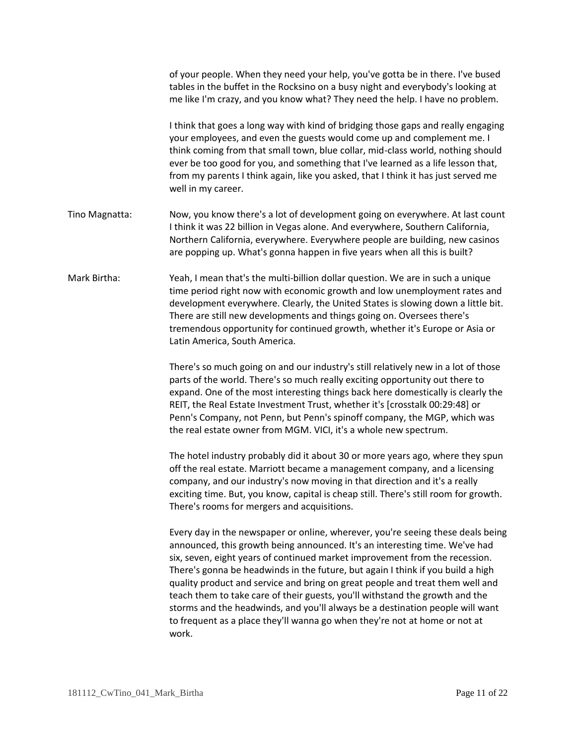|                | of your people. When they need your help, you've gotta be in there. I've bused<br>tables in the buffet in the Rocksino on a busy night and everybody's looking at<br>me like I'm crazy, and you know what? They need the help. I have no problem.                                                                                                                                                                                                                                                                                                                                                                                                                         |
|----------------|---------------------------------------------------------------------------------------------------------------------------------------------------------------------------------------------------------------------------------------------------------------------------------------------------------------------------------------------------------------------------------------------------------------------------------------------------------------------------------------------------------------------------------------------------------------------------------------------------------------------------------------------------------------------------|
|                | I think that goes a long way with kind of bridging those gaps and really engaging<br>your employees, and even the guests would come up and complement me. I<br>think coming from that small town, blue collar, mid-class world, nothing should<br>ever be too good for you, and something that I've learned as a life lesson that,<br>from my parents I think again, like you asked, that I think it has just served me<br>well in my career.                                                                                                                                                                                                                             |
| Tino Magnatta: | Now, you know there's a lot of development going on everywhere. At last count<br>I think it was 22 billion in Vegas alone. And everywhere, Southern California,<br>Northern California, everywhere. Everywhere people are building, new casinos<br>are popping up. What's gonna happen in five years when all this is built?                                                                                                                                                                                                                                                                                                                                              |
| Mark Birtha:   | Yeah, I mean that's the multi-billion dollar question. We are in such a unique<br>time period right now with economic growth and low unemployment rates and<br>development everywhere. Clearly, the United States is slowing down a little bit.<br>There are still new developments and things going on. Oversees there's<br>tremendous opportunity for continued growth, whether it's Europe or Asia or<br>Latin America, South America.                                                                                                                                                                                                                                 |
|                | There's so much going on and our industry's still relatively new in a lot of those<br>parts of the world. There's so much really exciting opportunity out there to<br>expand. One of the most interesting things back here domestically is clearly the<br>REIT, the Real Estate Investment Trust, whether it's [crosstalk 00:29:48] or<br>Penn's Company, not Penn, but Penn's spinoff company, the MGP, which was<br>the real estate owner from MGM. VICI, it's a whole new spectrum.                                                                                                                                                                                    |
|                | The hotel industry probably did it about 30 or more years ago, where they spun<br>off the real estate. Marriott became a management company, and a licensing<br>company, and our industry's now moving in that direction and it's a really<br>exciting time. But, you know, capital is cheap still. There's still room for growth.<br>There's rooms for mergers and acquisitions.                                                                                                                                                                                                                                                                                         |
|                | Every day in the newspaper or online, wherever, you're seeing these deals being<br>announced, this growth being announced. It's an interesting time. We've had<br>six, seven, eight years of continued market improvement from the recession.<br>There's gonna be headwinds in the future, but again I think if you build a high<br>quality product and service and bring on great people and treat them well and<br>teach them to take care of their guests, you'll withstand the growth and the<br>storms and the headwinds, and you'll always be a destination people will want<br>to frequent as a place they'll wanna go when they're not at home or not at<br>work. |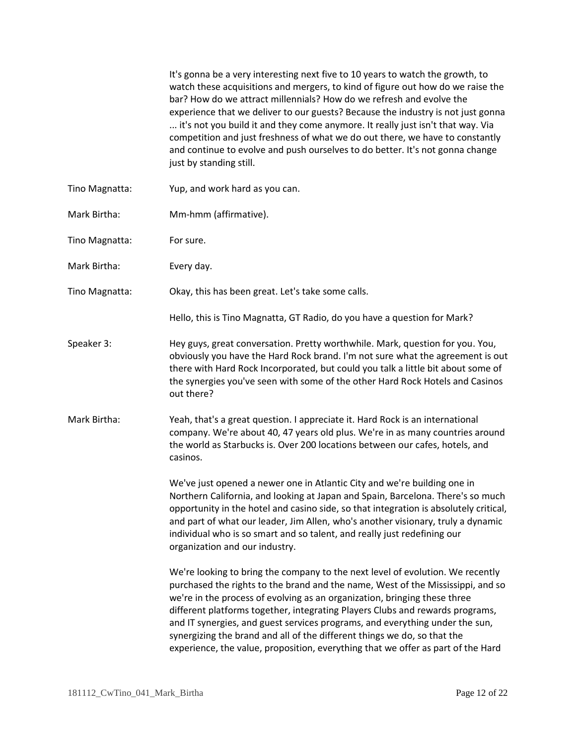|                | It's gonna be a very interesting next five to 10 years to watch the growth, to<br>watch these acquisitions and mergers, to kind of figure out how do we raise the<br>bar? How do we attract millennials? How do we refresh and evolve the<br>experience that we deliver to our guests? Because the industry is not just gonna<br>it's not you build it and they come anymore. It really just isn't that way. Via<br>competition and just freshness of what we do out there, we have to constantly<br>and continue to evolve and push ourselves to do better. It's not gonna change<br>just by standing still. |
|----------------|---------------------------------------------------------------------------------------------------------------------------------------------------------------------------------------------------------------------------------------------------------------------------------------------------------------------------------------------------------------------------------------------------------------------------------------------------------------------------------------------------------------------------------------------------------------------------------------------------------------|
| Tino Magnatta: | Yup, and work hard as you can.                                                                                                                                                                                                                                                                                                                                                                                                                                                                                                                                                                                |
| Mark Birtha:   | Mm-hmm (affirmative).                                                                                                                                                                                                                                                                                                                                                                                                                                                                                                                                                                                         |
| Tino Magnatta: | For sure.                                                                                                                                                                                                                                                                                                                                                                                                                                                                                                                                                                                                     |
| Mark Birtha:   | Every day.                                                                                                                                                                                                                                                                                                                                                                                                                                                                                                                                                                                                    |
| Tino Magnatta: | Okay, this has been great. Let's take some calls.                                                                                                                                                                                                                                                                                                                                                                                                                                                                                                                                                             |
|                | Hello, this is Tino Magnatta, GT Radio, do you have a question for Mark?                                                                                                                                                                                                                                                                                                                                                                                                                                                                                                                                      |
| Speaker 3:     | Hey guys, great conversation. Pretty worthwhile. Mark, question for you. You,<br>obviously you have the Hard Rock brand. I'm not sure what the agreement is out<br>there with Hard Rock Incorporated, but could you talk a little bit about some of<br>the synergies you've seen with some of the other Hard Rock Hotels and Casinos<br>out there?                                                                                                                                                                                                                                                            |
| Mark Birtha:   | Yeah, that's a great question. I appreciate it. Hard Rock is an international<br>company. We're about 40, 47 years old plus. We're in as many countries around<br>the world as Starbucks is. Over 200 locations between our cafes, hotels, and<br>casinos.                                                                                                                                                                                                                                                                                                                                                    |
|                | We've just opened a newer one in Atlantic City and we're building one in<br>Northern California, and looking at Japan and Spain, Barcelona. There's so much<br>opportunity in the hotel and casino side, so that integration is absolutely critical,<br>and part of what our leader, Jim Allen, who's another visionary, truly a dynamic<br>individual who is so smart and so talent, and really just redefining our<br>organization and our industry.                                                                                                                                                        |
|                | We're looking to bring the company to the next level of evolution. We recently<br>purchased the rights to the brand and the name, West of the Mississippi, and so<br>we're in the process of evolving as an organization, bringing these three<br>different platforms together, integrating Players Clubs and rewards programs,<br>and IT synergies, and guest services programs, and everything under the sun,<br>synergizing the brand and all of the different things we do, so that the<br>experience, the value, proposition, everything that we offer as part of the Hard                               |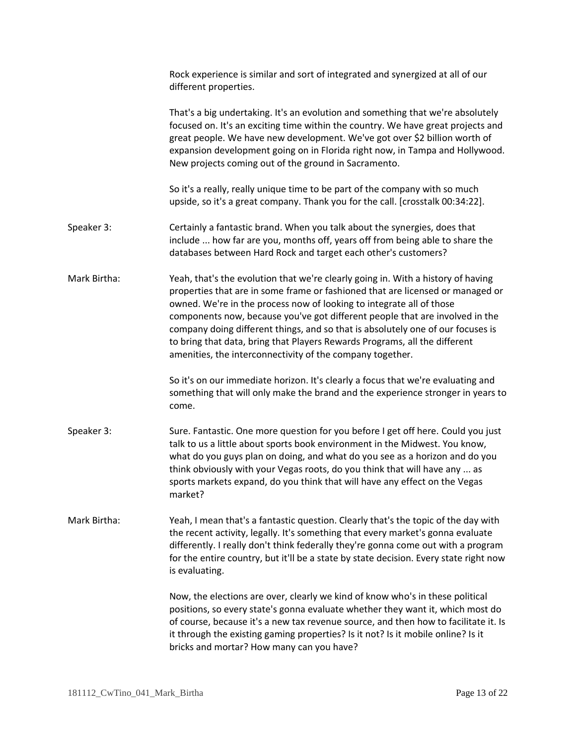|              | Rock experience is similar and sort of integrated and synergized at all of our<br>different properties.                                                                                                                                                                                                                                                                                                                                                                                                                                                  |
|--------------|----------------------------------------------------------------------------------------------------------------------------------------------------------------------------------------------------------------------------------------------------------------------------------------------------------------------------------------------------------------------------------------------------------------------------------------------------------------------------------------------------------------------------------------------------------|
|              | That's a big undertaking. It's an evolution and something that we're absolutely<br>focused on. It's an exciting time within the country. We have great projects and<br>great people. We have new development. We've got over \$2 billion worth of<br>expansion development going on in Florida right now, in Tampa and Hollywood.<br>New projects coming out of the ground in Sacramento.                                                                                                                                                                |
|              | So it's a really, really unique time to be part of the company with so much<br>upside, so it's a great company. Thank you for the call. [crosstalk 00:34:22].                                                                                                                                                                                                                                                                                                                                                                                            |
| Speaker 3:   | Certainly a fantastic brand. When you talk about the synergies, does that<br>include  how far are you, months off, years off from being able to share the<br>databases between Hard Rock and target each other's customers?                                                                                                                                                                                                                                                                                                                              |
| Mark Birtha: | Yeah, that's the evolution that we're clearly going in. With a history of having<br>properties that are in some frame or fashioned that are licensed or managed or<br>owned. We're in the process now of looking to integrate all of those<br>components now, because you've got different people that are involved in the<br>company doing different things, and so that is absolutely one of our focuses is<br>to bring that data, bring that Players Rewards Programs, all the different<br>amenities, the interconnectivity of the company together. |
|              | So it's on our immediate horizon. It's clearly a focus that we're evaluating and<br>something that will only make the brand and the experience stronger in years to<br>come.                                                                                                                                                                                                                                                                                                                                                                             |
| Speaker 3:   | Sure. Fantastic. One more question for you before I get off here. Could you just<br>talk to us a little about sports book environment in the Midwest. You know,<br>what do you guys plan on doing, and what do you see as a horizon and do you<br>think obviously with your Vegas roots, do you think that will have any  as<br>sports markets expand, do you think that will have any effect on the Vegas<br>market?                                                                                                                                    |
| Mark Birtha: | Yeah, I mean that's a fantastic question. Clearly that's the topic of the day with<br>the recent activity, legally. It's something that every market's gonna evaluate<br>differently. I really don't think federally they're gonna come out with a program<br>for the entire country, but it'll be a state by state decision. Every state right now<br>is evaluating.                                                                                                                                                                                    |
|              | Now, the elections are over, clearly we kind of know who's in these political<br>positions, so every state's gonna evaluate whether they want it, which most do<br>of course, because it's a new tax revenue source, and then how to facilitate it. Is<br>it through the existing gaming properties? Is it not? Is it mobile online? Is it<br>bricks and mortar? How many can you have?                                                                                                                                                                  |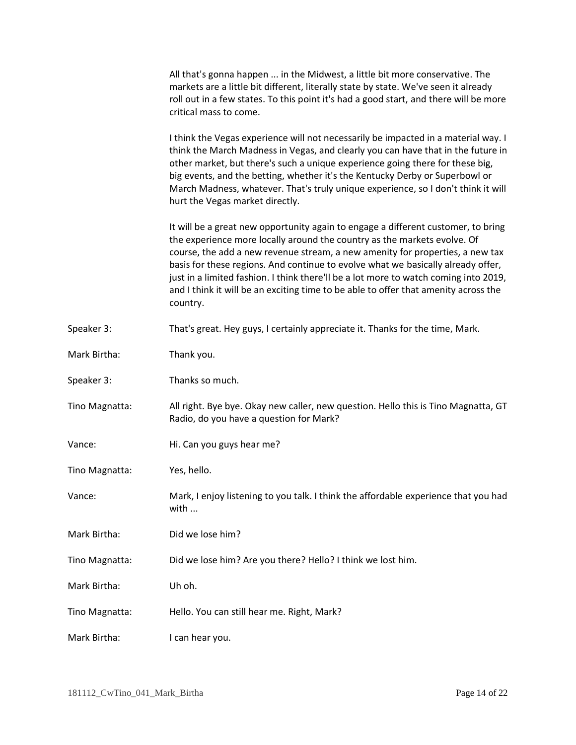| All that's gonna happen  in the Midwest, a little bit more conservative. The          |
|---------------------------------------------------------------------------------------|
| markets are a little bit different, literally state by state. We've seen it already   |
| roll out in a few states. To this point it's had a good start, and there will be more |
| critical mass to come.                                                                |

I think the Vegas experience will not necessarily be impacted in a material way. I think the March Madness in Vegas, and clearly you can have that in the future in other market, but there's such a unique experience going there for these big, big events, and the betting, whether it's the Kentucky Derby or Superbowl or March Madness, whatever. That's truly unique experience, so I don't think it will hurt the Vegas market directly.

It will be a great new opportunity again to engage a different customer, to bring the experience more locally around the country as the markets evolve. Of course, the add a new revenue stream, a new amenity for properties, a new tax basis for these regions. And continue to evolve what we basically already offer, just in a limited fashion. I think there'll be a lot more to watch coming into 2019, and I think it will be an exciting time to be able to offer that amenity across the country.

- Speaker 3: That's great. Hey guys, I certainly appreciate it. Thanks for the time, Mark.
- Mark Birtha: Thank you.
- Speaker 3: Thanks so much.
- Tino Magnatta: All right. Bye bye. Okay new caller, new question. Hello this is Tino Magnatta, GT Radio, do you have a question for Mark?
- Vance: Hi. Can you guys hear me?
- Tino Magnatta: Yes, hello.
- Vance: Mark, I enjoy listening to you talk. I think the affordable experience that you had with ...
- Mark Birtha: Did we lose him?

Tino Magnatta: Did we lose him? Are you there? Hello? I think we lost him.

- Mark Birtha: Uh oh.
- Tino Magnatta: Hello. You can still hear me. Right, Mark?
- Mark Birtha: I can hear you.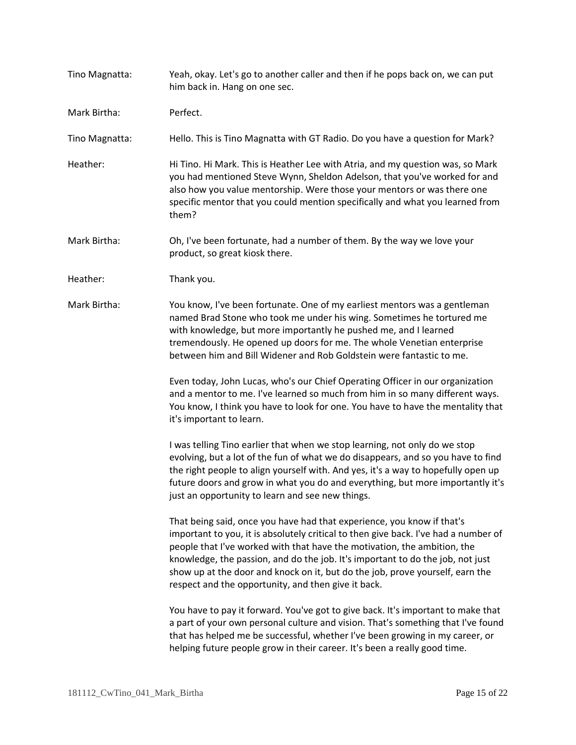Tino Magnatta: Yeah, okay. Let's go to another caller and then if he pops back on, we can put him back in. Hang on one sec.

Mark Birtha: Perfect.

Tino Magnatta: Hello. This is Tino Magnatta with GT Radio. Do you have a question for Mark?

- Heather: Hi Tino. Hi Mark. This is Heather Lee with Atria, and my question was, so Mark you had mentioned Steve Wynn, Sheldon Adelson, that you've worked for and also how you value mentorship. Were those your mentors or was there one specific mentor that you could mention specifically and what you learned from them?
- Mark Birtha: Oh, I've been fortunate, had a number of them. By the way we love your product, so great kiosk there.
- Heather: Thank you.
- Mark Birtha: You know, I've been fortunate. One of my earliest mentors was a gentleman named Brad Stone who took me under his wing. Sometimes he tortured me with knowledge, but more importantly he pushed me, and I learned tremendously. He opened up doors for me. The whole Venetian enterprise between him and Bill Widener and Rob Goldstein were fantastic to me.

Even today, John Lucas, who's our Chief Operating Officer in our organization and a mentor to me. I've learned so much from him in so many different ways. You know, I think you have to look for one. You have to have the mentality that it's important to learn.

I was telling Tino earlier that when we stop learning, not only do we stop evolving, but a lot of the fun of what we do disappears, and so you have to find the right people to align yourself with. And yes, it's a way to hopefully open up future doors and grow in what you do and everything, but more importantly it's just an opportunity to learn and see new things.

That being said, once you have had that experience, you know if that's important to you, it is absolutely critical to then give back. I've had a number of people that I've worked with that have the motivation, the ambition, the knowledge, the passion, and do the job. It's important to do the job, not just show up at the door and knock on it, but do the job, prove yourself, earn the respect and the opportunity, and then give it back.

You have to pay it forward. You've got to give back. It's important to make that a part of your own personal culture and vision. That's something that I've found that has helped me be successful, whether I've been growing in my career, or helping future people grow in their career. It's been a really good time.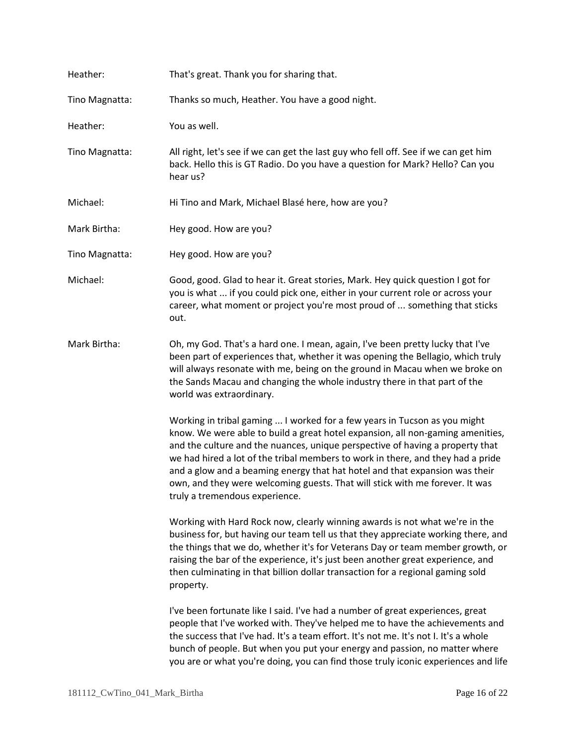| Heather:       | That's great. Thank you for sharing that.                                                                                                                                                                                                                                                                                                                                                                                                                                                                                        |
|----------------|----------------------------------------------------------------------------------------------------------------------------------------------------------------------------------------------------------------------------------------------------------------------------------------------------------------------------------------------------------------------------------------------------------------------------------------------------------------------------------------------------------------------------------|
| Tino Magnatta: | Thanks so much, Heather. You have a good night.                                                                                                                                                                                                                                                                                                                                                                                                                                                                                  |
| Heather:       | You as well.                                                                                                                                                                                                                                                                                                                                                                                                                                                                                                                     |
| Tino Magnatta: | All right, let's see if we can get the last guy who fell off. See if we can get him<br>back. Hello this is GT Radio. Do you have a question for Mark? Hello? Can you<br>hear us?                                                                                                                                                                                                                                                                                                                                                 |
| Michael:       | Hi Tino and Mark, Michael Blasé here, how are you?                                                                                                                                                                                                                                                                                                                                                                                                                                                                               |
| Mark Birtha:   | Hey good. How are you?                                                                                                                                                                                                                                                                                                                                                                                                                                                                                                           |
| Tino Magnatta: | Hey good. How are you?                                                                                                                                                                                                                                                                                                                                                                                                                                                                                                           |
| Michael:       | Good, good. Glad to hear it. Great stories, Mark. Hey quick question I got for<br>you is what  if you could pick one, either in your current role or across your<br>career, what moment or project you're most proud of  something that sticks<br>out.                                                                                                                                                                                                                                                                           |
| Mark Birtha:   | Oh, my God. That's a hard one. I mean, again, I've been pretty lucky that I've<br>been part of experiences that, whether it was opening the Bellagio, which truly<br>will always resonate with me, being on the ground in Macau when we broke on<br>the Sands Macau and changing the whole industry there in that part of the<br>world was extraordinary.                                                                                                                                                                        |
|                | Working in tribal gaming  I worked for a few years in Tucson as you might<br>know. We were able to build a great hotel expansion, all non-gaming amenities,<br>and the culture and the nuances, unique perspective of having a property that<br>we had hired a lot of the tribal members to work in there, and they had a pride<br>and a glow and a beaming energy that hat hotel and that expansion was their<br>own, and they were welcoming guests. That will stick with me forever. It was<br>truly a tremendous experience. |
|                | Working with Hard Rock now, clearly winning awards is not what we're in the<br>business for, but having our team tell us that they appreciate working there, and<br>the things that we do, whether it's for Veterans Day or team member growth, or<br>raising the bar of the experience, it's just been another great experience, and<br>then culminating in that billion dollar transaction for a regional gaming sold<br>property.                                                                                             |
|                | I've been fortunate like I said. I've had a number of great experiences, great<br>people that I've worked with. They've helped me to have the achievements and<br>the success that I've had. It's a team effort. It's not me. It's not I. It's a whole<br>bunch of people. But when you put your energy and passion, no matter where<br>you are or what you're doing, you can find those truly iconic experiences and life                                                                                                       |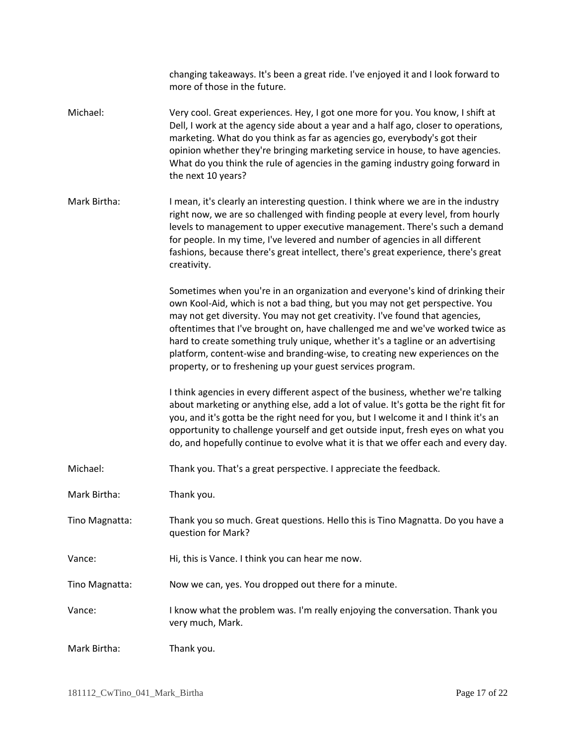|                | changing takeaways. It's been a great ride. I've enjoyed it and I look forward to<br>more of those in the future.                                                                                                                                                                                                                                                                                                                                                                                                                                                |
|----------------|------------------------------------------------------------------------------------------------------------------------------------------------------------------------------------------------------------------------------------------------------------------------------------------------------------------------------------------------------------------------------------------------------------------------------------------------------------------------------------------------------------------------------------------------------------------|
| Michael:       | Very cool. Great experiences. Hey, I got one more for you. You know, I shift at<br>Dell, I work at the agency side about a year and a half ago, closer to operations,<br>marketing. What do you think as far as agencies go, everybody's got their<br>opinion whether they're bringing marketing service in house, to have agencies.<br>What do you think the rule of agencies in the gaming industry going forward in<br>the next 10 years?                                                                                                                     |
| Mark Birtha:   | I mean, it's clearly an interesting question. I think where we are in the industry<br>right now, we are so challenged with finding people at every level, from hourly<br>levels to management to upper executive management. There's such a demand<br>for people. In my time, I've levered and number of agencies in all different<br>fashions, because there's great intellect, there's great experience, there's great<br>creativity.                                                                                                                          |
|                | Sometimes when you're in an organization and everyone's kind of drinking their<br>own Kool-Aid, which is not a bad thing, but you may not get perspective. You<br>may not get diversity. You may not get creativity. I've found that agencies,<br>oftentimes that I've brought on, have challenged me and we've worked twice as<br>hard to create something truly unique, whether it's a tagline or an advertising<br>platform, content-wise and branding-wise, to creating new experiences on the<br>property, or to freshening up your guest services program. |
|                | I think agencies in every different aspect of the business, whether we're talking<br>about marketing or anything else, add a lot of value. It's gotta be the right fit for<br>you, and it's gotta be the right need for you, but I welcome it and I think it's an<br>opportunity to challenge yourself and get outside input, fresh eyes on what you<br>do, and hopefully continue to evolve what it is that we offer each and every day.                                                                                                                        |
| Michael:       | Thank you. That's a great perspective. I appreciate the feedback.                                                                                                                                                                                                                                                                                                                                                                                                                                                                                                |
| Mark Birtha:   | Thank you.                                                                                                                                                                                                                                                                                                                                                                                                                                                                                                                                                       |
| Tino Magnatta: | Thank you so much. Great questions. Hello this is Tino Magnatta. Do you have a<br>question for Mark?                                                                                                                                                                                                                                                                                                                                                                                                                                                             |
| Vance:         | Hi, this is Vance. I think you can hear me now.                                                                                                                                                                                                                                                                                                                                                                                                                                                                                                                  |
| Tino Magnatta: | Now we can, yes. You dropped out there for a minute.                                                                                                                                                                                                                                                                                                                                                                                                                                                                                                             |
| Vance:         | I know what the problem was. I'm really enjoying the conversation. Thank you<br>very much, Mark.                                                                                                                                                                                                                                                                                                                                                                                                                                                                 |
| Mark Birtha:   | Thank you.                                                                                                                                                                                                                                                                                                                                                                                                                                                                                                                                                       |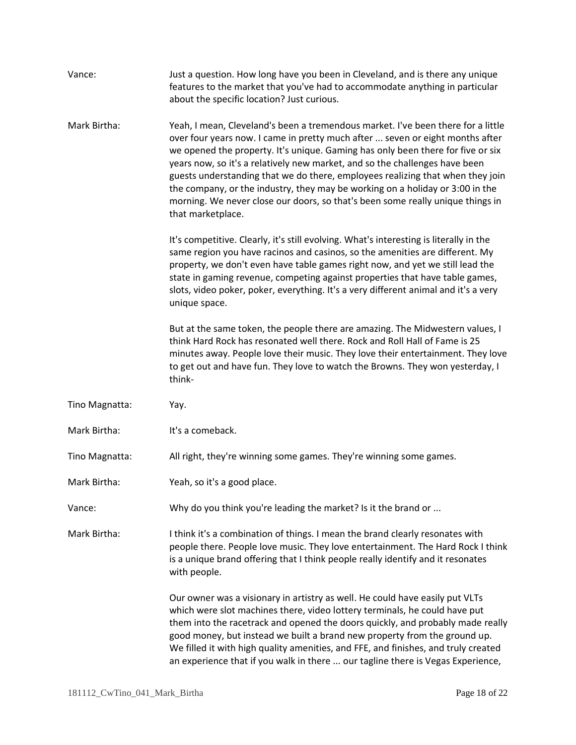| Vance:         | Just a question. How long have you been in Cleveland, and is there any unique<br>features to the market that you've had to accommodate anything in particular<br>about the specific location? Just curious.                                                                                                                                                                                                                                                                                                                                                                                                   |
|----------------|---------------------------------------------------------------------------------------------------------------------------------------------------------------------------------------------------------------------------------------------------------------------------------------------------------------------------------------------------------------------------------------------------------------------------------------------------------------------------------------------------------------------------------------------------------------------------------------------------------------|
| Mark Birtha:   | Yeah, I mean, Cleveland's been a tremendous market. I've been there for a little<br>over four years now. I came in pretty much after  seven or eight months after<br>we opened the property. It's unique. Gaming has only been there for five or six<br>years now, so it's a relatively new market, and so the challenges have been<br>guests understanding that we do there, employees realizing that when they join<br>the company, or the industry, they may be working on a holiday or 3:00 in the<br>morning. We never close our doors, so that's been some really unique things in<br>that marketplace. |
|                | It's competitive. Clearly, it's still evolving. What's interesting is literally in the<br>same region you have racinos and casinos, so the amenities are different. My<br>property, we don't even have table games right now, and yet we still lead the<br>state in gaming revenue, competing against properties that have table games,<br>slots, video poker, poker, everything. It's a very different animal and it's a very<br>unique space.                                                                                                                                                               |
|                | But at the same token, the people there are amazing. The Midwestern values, I<br>think Hard Rock has resonated well there. Rock and Roll Hall of Fame is 25<br>minutes away. People love their music. They love their entertainment. They love<br>to get out and have fun. They love to watch the Browns. They won yesterday, I<br>think-                                                                                                                                                                                                                                                                     |
| Tino Magnatta: | Yay.                                                                                                                                                                                                                                                                                                                                                                                                                                                                                                                                                                                                          |
| Mark Birtha:   | It's a comeback.                                                                                                                                                                                                                                                                                                                                                                                                                                                                                                                                                                                              |
| Tino Magnatta: | All right, they're winning some games. They're winning some games.                                                                                                                                                                                                                                                                                                                                                                                                                                                                                                                                            |
| Mark Birtha:   | Yeah, so it's a good place.                                                                                                                                                                                                                                                                                                                                                                                                                                                                                                                                                                                   |
| Vance:         | Why do you think you're leading the market? Is it the brand or                                                                                                                                                                                                                                                                                                                                                                                                                                                                                                                                                |
| Mark Birtha:   | I think it's a combination of things. I mean the brand clearly resonates with<br>people there. People love music. They love entertainment. The Hard Rock I think<br>is a unique brand offering that I think people really identify and it resonates<br>with people.                                                                                                                                                                                                                                                                                                                                           |
|                | Our owner was a visionary in artistry as well. He could have easily put VLTs<br>which were slot machines there, video lottery terminals, he could have put<br>them into the racetrack and opened the doors quickly, and probably made really<br>good money, but instead we built a brand new property from the ground up.<br>We filled it with high quality amenities, and FFE, and finishes, and truly created<br>an experience that if you walk in there  our tagline there is Vegas Experience,                                                                                                            |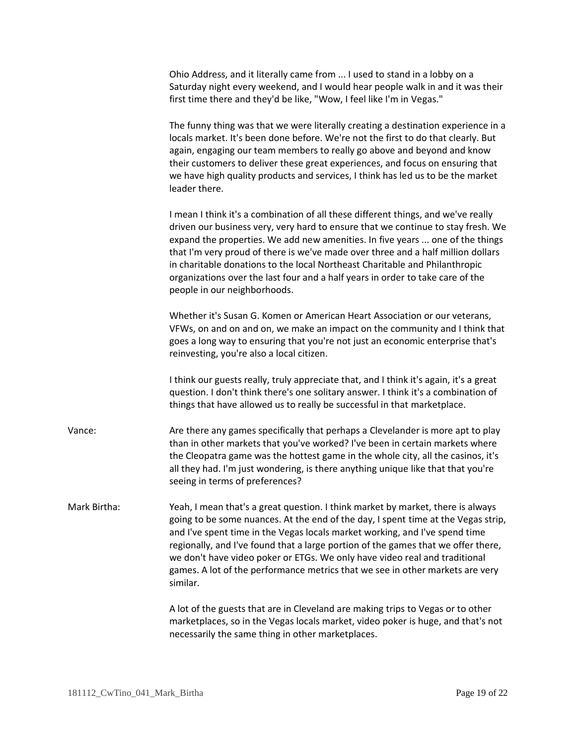|              | Ohio Address, and it literally came from  I used to stand in a lobby on a<br>Saturday night every weekend, and I would hear people walk in and it was their<br>first time there and they'd be like, "Wow, I feel like I'm in Vegas."                                                                                                                                                                                                                                                                                                        |
|--------------|---------------------------------------------------------------------------------------------------------------------------------------------------------------------------------------------------------------------------------------------------------------------------------------------------------------------------------------------------------------------------------------------------------------------------------------------------------------------------------------------------------------------------------------------|
|              | The funny thing was that we were literally creating a destination experience in a<br>locals market. It's been done before. We're not the first to do that clearly. But<br>again, engaging our team members to really go above and beyond and know<br>their customers to deliver these great experiences, and focus on ensuring that<br>we have high quality products and services, I think has led us to be the market<br>leader there.                                                                                                     |
|              | I mean I think it's a combination of all these different things, and we've really<br>driven our business very, very hard to ensure that we continue to stay fresh. We<br>expand the properties. We add new amenities. In five years  one of the things<br>that I'm very proud of there is we've made over three and a half million dollars<br>in charitable donations to the local Northeast Charitable and Philanthropic<br>organizations over the last four and a half years in order to take care of the<br>people in our neighborhoods. |
|              | Whether it's Susan G. Komen or American Heart Association or our veterans,<br>VFWs, on and on and on, we make an impact on the community and I think that<br>goes a long way to ensuring that you're not just an economic enterprise that's<br>reinvesting, you're also a local citizen.                                                                                                                                                                                                                                                    |
|              | I think our guests really, truly appreciate that, and I think it's again, it's a great<br>question. I don't think there's one solitary answer. I think it's a combination of<br>things that have allowed us to really be successful in that marketplace.                                                                                                                                                                                                                                                                                    |
| Vance:       | Are there any games specifically that perhaps a Clevelander is more apt to play<br>than in other markets that you've worked? I've been in certain markets where<br>the Cleopatra game was the hottest game in the whole city, all the casinos, it's<br>all they had. I'm just wondering, is there anything unique like that that you're<br>seeing in terms of preferences?                                                                                                                                                                  |
| Mark Birtha: | Yeah, I mean that's a great question. I think market by market, there is always<br>going to be some nuances. At the end of the day, I spent time at the Vegas strip,<br>and I've spent time in the Vegas locals market working, and I've spend time<br>regionally, and I've found that a large portion of the games that we offer there,<br>we don't have video poker or ETGs. We only have video real and traditional<br>games. A lot of the performance metrics that we see in other markets are very<br>similar.                         |
|              | A lot of the guests that are in Cleveland are making trips to Vegas or to other<br>marketplaces, so in the Vegas locals market, video poker is huge, and that's not<br>necessarily the same thing in other marketplaces.                                                                                                                                                                                                                                                                                                                    |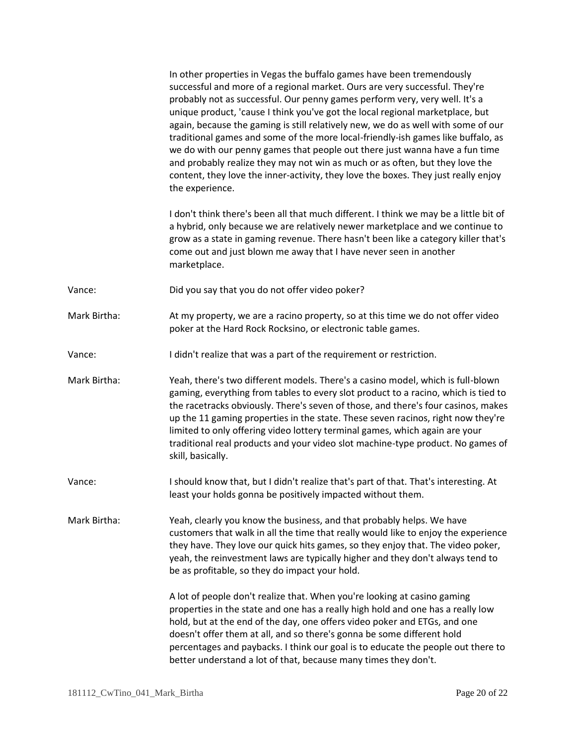In other properties in Vegas the buffalo games have been tremendously successful and more of a regional market. Ours are very successful. They're probably not as successful. Our penny games perform very, very well. It's a unique product, 'cause I think you've got the local regional marketplace, but again, because the gaming is still relatively new, we do as well with some of our traditional games and some of the more local-friendly-ish games like buffalo, as we do with our penny games that people out there just wanna have a fun time and probably realize they may not win as much or as often, but they love the content, they love the inner-activity, they love the boxes. They just really enjoy the experience.

I don't think there's been all that much different. I think we may be a little bit of a hybrid, only because we are relatively newer marketplace and we continue to grow as a state in gaming revenue. There hasn't been like a category killer that's come out and just blown me away that I have never seen in another marketplace.

- Vance: Did you say that you do not offer video poker?
- Mark Birtha: At my property, we are a racino property, so at this time we do not offer video poker at the Hard Rock Rocksino, or electronic table games.
- Vance: I didn't realize that was a part of the requirement or restriction.
- Mark Birtha: Yeah, there's two different models. There's a casino model, which is full-blown gaming, everything from tables to every slot product to a racino, which is tied to the racetracks obviously. There's seven of those, and there's four casinos, makes up the 11 gaming properties in the state. These seven racinos, right now they're limited to only offering video lottery terminal games, which again are your traditional real products and your video slot machine-type product. No games of skill, basically.
- Vance: I should know that, but I didn't realize that's part of that. That's interesting. At least your holds gonna be positively impacted without them.

Mark Birtha: Yeah, clearly you know the business, and that probably helps. We have customers that walk in all the time that really would like to enjoy the experience they have. They love our quick hits games, so they enjoy that. The video poker, yeah, the reinvestment laws are typically higher and they don't always tend to be as profitable, so they do impact your hold.

> A lot of people don't realize that. When you're looking at casino gaming properties in the state and one has a really high hold and one has a really low hold, but at the end of the day, one offers video poker and ETGs, and one doesn't offer them at all, and so there's gonna be some different hold percentages and paybacks. I think our goal is to educate the people out there to better understand a lot of that, because many times they don't.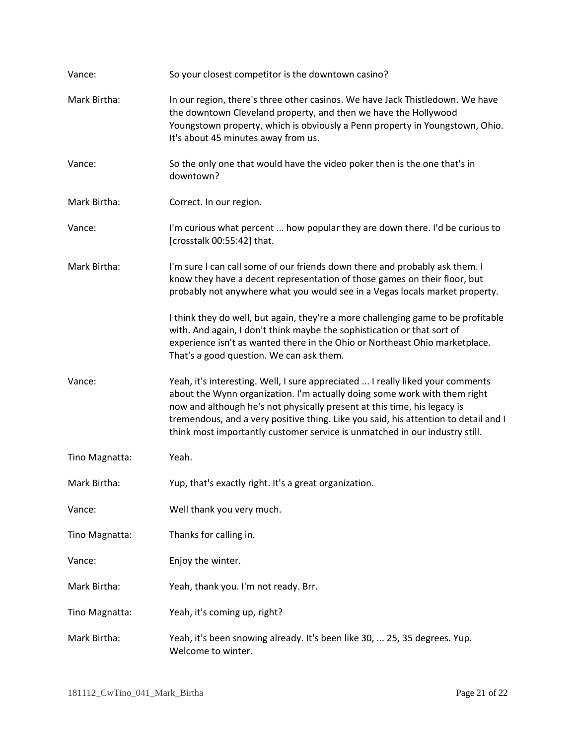| Vance:         | So your closest competitor is the downtown casino?                                                                                                                                                                                                                                                                                                                                                            |
|----------------|---------------------------------------------------------------------------------------------------------------------------------------------------------------------------------------------------------------------------------------------------------------------------------------------------------------------------------------------------------------------------------------------------------------|
| Mark Birtha:   | In our region, there's three other casinos. We have Jack Thistledown. We have<br>the downtown Cleveland property, and then we have the Hollywood<br>Youngstown property, which is obviously a Penn property in Youngstown, Ohio.<br>It's about 45 minutes away from us.                                                                                                                                       |
| Vance:         | So the only one that would have the video poker then is the one that's in<br>downtown?                                                                                                                                                                                                                                                                                                                        |
| Mark Birtha:   | Correct. In our region.                                                                                                                                                                                                                                                                                                                                                                                       |
| Vance:         | I'm curious what percent  how popular they are down there. I'd be curious to<br>[crosstalk 00:55:42] that.                                                                                                                                                                                                                                                                                                    |
| Mark Birtha:   | I'm sure I can call some of our friends down there and probably ask them. I<br>know they have a decent representation of those games on their floor, but<br>probably not anywhere what you would see in a Vegas locals market property.                                                                                                                                                                       |
|                | I think they do well, but again, they're a more challenging game to be profitable<br>with. And again, I don't think maybe the sophistication or that sort of<br>experience isn't as wanted there in the Ohio or Northeast Ohio marketplace.<br>That's a good question. We can ask them.                                                                                                                       |
| Vance:         | Yeah, it's interesting. Well, I sure appreciated  I really liked your comments<br>about the Wynn organization. I'm actually doing some work with them right<br>now and although he's not physically present at this time, his legacy is<br>tremendous, and a very positive thing. Like you said, his attention to detail and I<br>think most importantly customer service is unmatched in our industry still. |
| Tino Magnatta: | Yeah.                                                                                                                                                                                                                                                                                                                                                                                                         |
| Mark Birtha:   | Yup, that's exactly right. It's a great organization.                                                                                                                                                                                                                                                                                                                                                         |
| Vance:         | Well thank you very much.                                                                                                                                                                                                                                                                                                                                                                                     |
| Tino Magnatta: | Thanks for calling in.                                                                                                                                                                                                                                                                                                                                                                                        |
| Vance:         | Enjoy the winter.                                                                                                                                                                                                                                                                                                                                                                                             |
| Mark Birtha:   | Yeah, thank you. I'm not ready. Brr.                                                                                                                                                                                                                                                                                                                                                                          |
| Tino Magnatta: | Yeah, it's coming up, right?                                                                                                                                                                                                                                                                                                                                                                                  |
| Mark Birtha:   | Yeah, it's been snowing already. It's been like 30,  25, 35 degrees. Yup.<br>Welcome to winter.                                                                                                                                                                                                                                                                                                               |